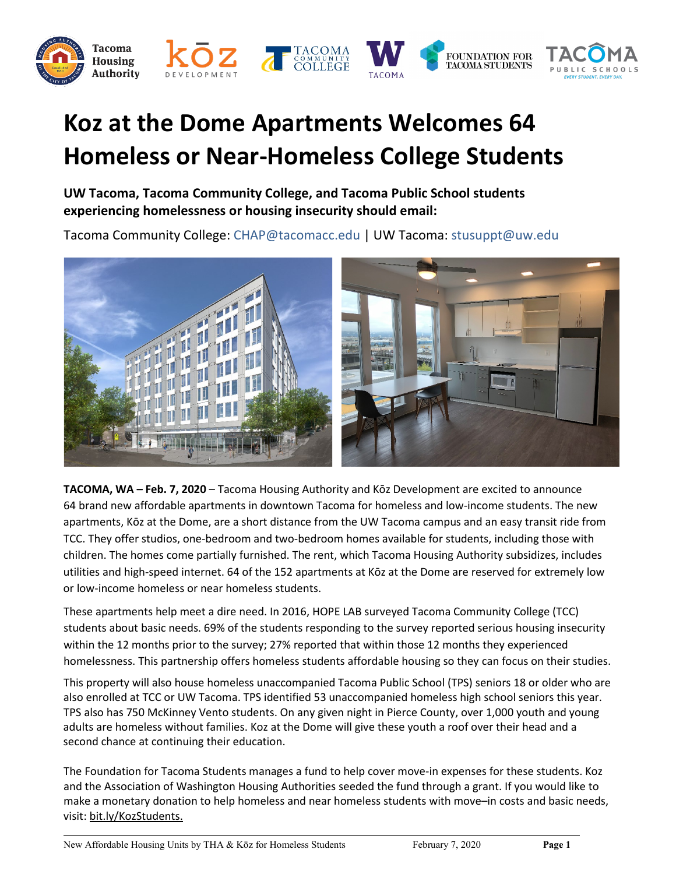

## **Koz at the Dome Apartments Welcomes 64 Homeless or Near-Homeless College Students**

**UW Tacoma, Tacoma Community College, and Tacoma Public School students experiencing homelessness or housing insecurity should email:**

Tacoma Community College: CHAP@tacomacc.edu | UW Tacoma: stusuppt@uw.edu



**TACOMA, WA – Feb. 7, 2020** – Tacoma Housing Authority and Kōz Development are excited to announce 64 brand new affordable apartments in downtown Tacoma for homeless and low-income students. The new apartments, Kōz at the Dome, are a short distance from the UW Tacoma campus and an easy transit ride from TCC. They offer studios, one-bedroom and two-bedroom homes available for students, including those with children. The homes come partially furnished. The rent, which Tacoma Housing Authority subsidizes, includes utilities and high-speed internet. 64 of the 152 apartments at Kōz at the Dome are reserved for extremely low or low-income homeless or near homeless students.

These apartments help meet a dire need. In 2016, HOPE LAB surveyed Tacoma Community College (TCC) students about basic needs. 69% of the students responding to the survey reported serious housing insecurity within the 12 months prior to the survey; 27% reported that within those 12 months they experienced homelessness. This partnership offers homeless students affordable housing so they can focus on their studies.

This property will also house homeless unaccompanied Tacoma Public School (TPS) seniors 18 or older who are also enrolled at TCC or UW Tacoma. TPS identified 53 unaccompanied homeless high school seniors this year. TPS also has 750 McKinney Vento students. On any given night in Pierce County, over 1,000 youth and young adults are homeless without families. Koz at the Dome will give these youth a roof over their head and a second chance at continuing their education.

The Foundation for Tacoma Students manages a fund to help cover move-in expenses for these students. Koz and the Association of Washington Housing Authorities seeded the fund through a grant. If you would like to make a monetary donation to help homeless and near homeless students with move–in costs and basic needs, visit: [bit.ly/KozStudents](https://linkprotect.cudasvc.com/url?a=http%3a%2f%2fbit.ly%2fKozStudents&c=E,1,mqU4SSykZJxQKqSQKSGjQM4o_soIA_44WNZ_gjMyR48Wml00U65fJp_uQM7fK5OrH6pwYdx4azaWnIEcnsmlRspdVXY5FsxJZaHfoZHi_MSaVY9SWyyEvDzjKA,,&typo=1).